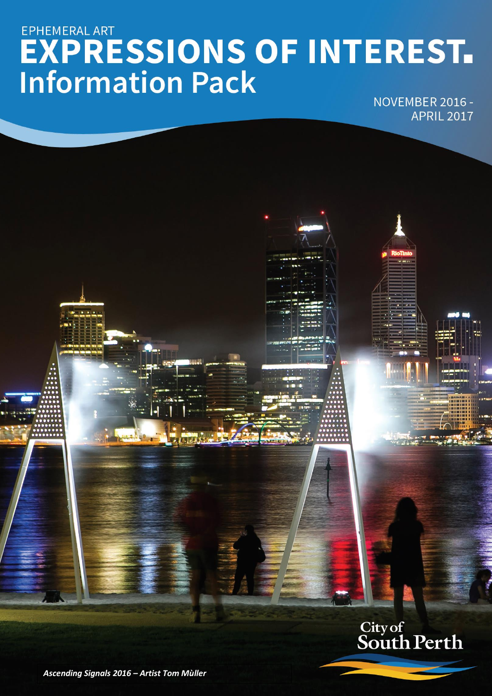# EPHEMERAL ART **EXPRESSIONS OF INTEREST.**<br>Information Pack

NOVEMBER 2016 -**APRIL 2017** 

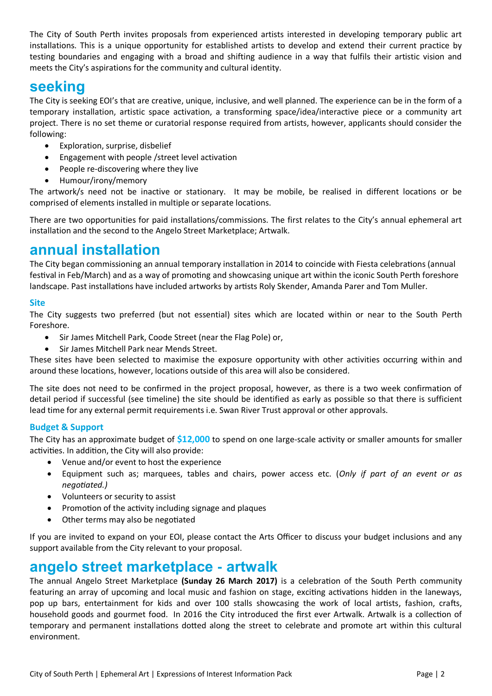The City of South Perth invites proposals from experienced artists interested in developing temporary public art installations. This is a unique opportunity for established artists to develop and extend their current practice by testing boundaries and engaging with a broad and shifting audience in a way that fulfils their artistic vision and meets the City's aspirations for the community and cultural identity.

## **seeking**

The City is seeking EOI's that are creative, unique, inclusive, and well planned. The experience can be in the form of a temporary installation, artistic space activation, a transforming space/idea/interactive piece or a community art project. There is no set theme or curatorial response required from artists, however, applicants should consider the following:

- Exploration, surprise, disbelief
- Engagement with people /street level activation
- People re-discovering where they live
- Humour/irony/memory

The artwork/s need not be inactive or stationary. It may be mobile, be realised in different locations or be comprised of elements installed in multiple or separate locations.

There are two opportunities for paid installations/commissions. The first relates to the City's annual ephemeral art installation and the second to the Angelo Street Marketplace; Artwalk.

# **annual installation**

The City began commissioning an annual temporary installation in 2014 to coincide with Fiesta celebrations (annual festival in Feb/March) and as a way of promoting and showcasing unique art within the iconic South Perth foreshore landscape. Past installations have included artworks by artists Roly Skender, Amanda Parer and Tom Muller.

#### **Site**

The City suggests two preferred (but not essential) sites which are located within or near to the South Perth Foreshore.

- Sir James Mitchell Park, Coode Street (near the Flag Pole) or,
- Sir James Mitchell Park near Mends Street.

These sites have been selected to maximise the exposure opportunity with other activities occurring within and around these locations, however, locations outside of this area will also be considered.

The site does not need to be confirmed in the project proposal, however, as there is a two week confirmation of detail period if successful (see timeline) the site should be identified as early as possible so that there is sufficient lead time for any external permit requirements i.e. Swan River Trust approval or other approvals.

#### **Budget & Support**

The City has an approximate budget of **\$12,000** to spend on one large-scale activity or smaller amounts for smaller activities. In addition, the City will also provide:

- Venue and/or event to host the experience
- Equipment such as; marquees, tables and chairs, power access etc. (*Only if part of an event or as negotiated.)*
- Volunteers or security to assist
- Promotion of the activity including signage and plaques
- Other terms may also be negotiated

If you are invited to expand on your EOI, please contact the Arts Officer to discuss your budget inclusions and any support available from the City relevant to your proposal.

# **angelo street marketplace - artwalk**

The annual Angelo Street Marketplace **(Sunday 26 March 2017)** is a celebration of the South Perth community featuring an array of upcoming and local music and fashion on stage, exciting activations hidden in the laneways, pop up bars, entertainment for kids and over 100 stalls showcasing the work of local artists, fashion, crafts, household goods and gourmet food. In 2016 the City introduced the first ever Artwalk. Artwalk is a collection of temporary and permanent installations dotted along the street to celebrate and promote art within this cultural environment.